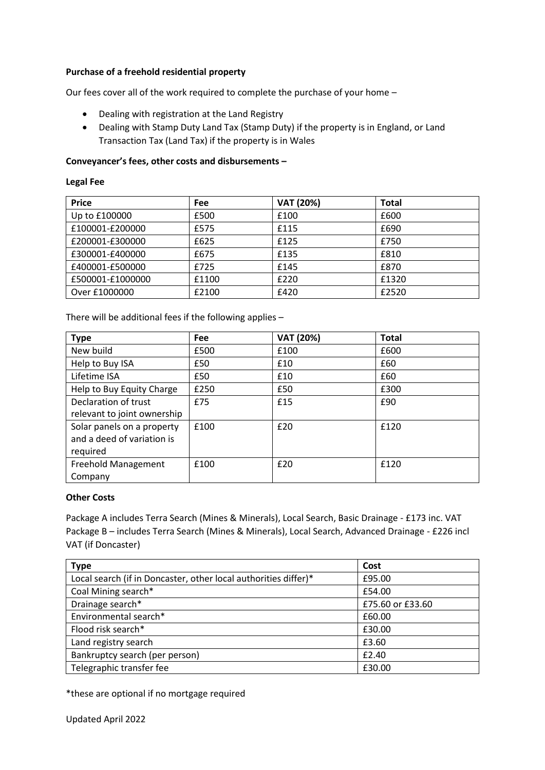## **Purchase of a freehold residential property**

Our fees cover all of the work required to complete the purchase of your home –

- Dealing with registration at the Land Registry
- Dealing with Stamp Duty Land Tax (Stamp Duty) if the property is in England, or Land Transaction Tax (Land Tax) if the property is in Wales

## **Conveyancer's fees, other costs and disbursements –**

### **Legal Fee**

| <b>Price</b>     | Fee   | <b>VAT (20%)</b> | <b>Total</b> |
|------------------|-------|------------------|--------------|
| Up to £100000    | £500  | £100             | £600         |
| £100001-£200000  | £575  | £115             | £690         |
| £200001-£300000  | £625  | £125             | £750         |
| £300001-£400000  | £675  | £135             | £810         |
| £400001-£500000  | £725  | £145             | £870         |
| £500001-£1000000 | £1100 | £220             | £1320        |
| Over £1000000    | £2100 | £420             | £2520        |

There will be additional fees if the following applies –

| <b>Type</b>                 | <b>Fee</b> | <b>VAT (20%)</b> | <b>Total</b> |
|-----------------------------|------------|------------------|--------------|
| New build                   | £500       | £100             | £600         |
| Help to Buy ISA             | £50        | £10              | £60          |
| Lifetime ISA                | £50        | £10              | £60          |
| Help to Buy Equity Charge   | £250       | £50              | £300         |
| Declaration of trust        | £75        | £15              | £90          |
| relevant to joint ownership |            |                  |              |
| Solar panels on a property  | £100       | £20              | £120         |
| and a deed of variation is  |            |                  |              |
| required                    |            |                  |              |
| <b>Freehold Management</b>  | £100       | £20              | £120         |
| Company                     |            |                  |              |

### **Other Costs**

Package A includes Terra Search (Mines & Minerals), Local Search, Basic Drainage - £173 inc. VAT Package B – includes Terra Search (Mines & Minerals), Local Search, Advanced Drainage - £226 incl VAT (if Doncaster)

| <b>Type</b>                                                     | Cost             |
|-----------------------------------------------------------------|------------------|
| Local search (if in Doncaster, other local authorities differ)* | £95.00           |
| Coal Mining search*                                             | £54.00           |
| Drainage search*                                                | £75.60 or £33.60 |
| Environmental search*                                           | £60.00           |
| Flood risk search*                                              | £30.00           |
| Land registry search                                            | £3.60            |
| Bankruptcy search (per person)                                  | £2.40            |
| Telegraphic transfer fee                                        | £30.00           |

\*these are optional if no mortgage required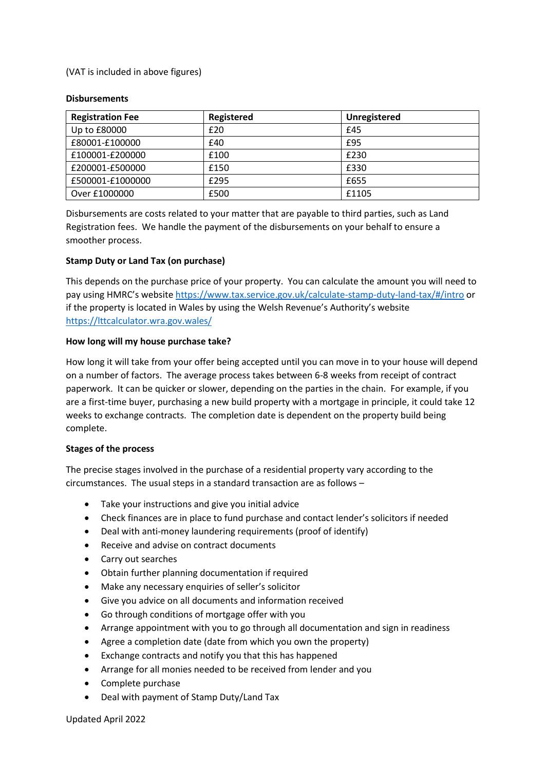(VAT is included in above figures)

#### **Disbursements**

| <b>Registration Fee</b> | Registered | <b>Unregistered</b> |
|-------------------------|------------|---------------------|
| Up to £80000            | £20        | £45                 |
| £80001-£100000          | £40        | £95                 |
| £100001-£200000         | £100       | £230                |
| £200001-£500000         | £150       | £330                |
| £500001-£1000000        | £295       | £655                |
| Over £1000000           | £500       | £1105               |

Disbursements are costs related to your matter that are payable to third parties, such as Land Registration fees. We handle the payment of the disbursements on your behalf to ensure a smoother process.

### **Stamp Duty or Land Tax (on purchase)**

This depends on the purchase price of your property. You can calculate the amount you will need to pay using HMRC's website<https://www.tax.service.gov.uk/calculate-stamp-duty-land-tax/#/intro> or if the property is located in Wales by using the Welsh Revenue's Authority's website <https://lttcalculator.wra.gov.wales/>

### **How long will my house purchase take?**

How long it will take from your offer being accepted until you can move in to your house will depend on a number of factors. The average process takes between 6-8 weeks from receipt of contract paperwork. It can be quicker or slower, depending on the parties in the chain. For example, if you are a first-time buyer, purchasing a new build property with a mortgage in principle, it could take 12 weeks to exchange contracts. The completion date is dependent on the property build being complete.

### **Stages of the process**

The precise stages involved in the purchase of a residential property vary according to the circumstances. The usual steps in a standard transaction are as follows –

- Take your instructions and give you initial advice
- Check finances are in place to fund purchase and contact lender's solicitors if needed
- Deal with anti-money laundering requirements (proof of identify)
- Receive and advise on contract documents
- Carry out searches
- Obtain further planning documentation if required
- Make any necessary enquiries of seller's solicitor
- Give you advice on all documents and information received
- Go through conditions of mortgage offer with you
- Arrange appointment with you to go through all documentation and sign in readiness
- Agree a completion date (date from which you own the property)
- Exchange contracts and notify you that this has happened
- Arrange for all monies needed to be received from lender and you
- Complete purchase
- Deal with payment of Stamp Duty/Land Tax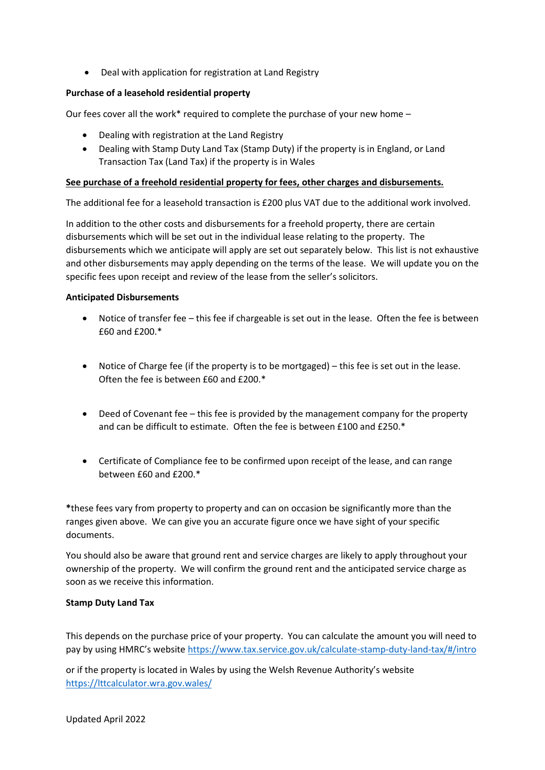• Deal with application for registration at Land Registry

## **Purchase of a leasehold residential property**

Our fees cover all the work\* required to complete the purchase of your new home -

- Dealing with registration at the Land Registry
- Dealing with Stamp Duty Land Tax (Stamp Duty) if the property is in England, or Land Transaction Tax (Land Tax) if the property is in Wales

### **See purchase of a freehold residential property for fees, other charges and disbursements.**

The additional fee for a leasehold transaction is £200 plus VAT due to the additional work involved.

In addition to the other costs and disbursements for a freehold property, there are certain disbursements which will be set out in the individual lease relating to the property. The disbursements which we anticipate will apply are set out separately below. This list is not exhaustive and other disbursements may apply depending on the terms of the lease. We will update you on the specific fees upon receipt and review of the lease from the seller's solicitors.

## **Anticipated Disbursements**

- Notice of transfer fee this fee if chargeable is set out in the lease. Often the fee is between £60 and £200.\*
- Notice of Charge fee (if the property is to be mortgaged) this fee is set out in the lease. Often the fee is between £60 and £200.\*
- Deed of Covenant fee this fee is provided by the management company for the property and can be difficult to estimate. Often the fee is between £100 and £250.\*
- Certificate of Compliance fee to be confirmed upon receipt of the lease, and can range between £60 and £200.\*

**\***these fees vary from property to property and can on occasion be significantly more than the ranges given above. We can give you an accurate figure once we have sight of your specific documents.

You should also be aware that ground rent and service charges are likely to apply throughout your ownership of the property. We will confirm the ground rent and the anticipated service charge as soon as we receive this information.

### **Stamp Duty Land Tax**

This depends on the purchase price of your property. You can calculate the amount you will need to pay by using HMRC's website [https://www.tax.service.gov.uk/calculate-stamp-duty-land-tax/#](https://www.tax.service.gov.uk/calculate-stamp-duty-land-tax/)/intro

or if the property is located in Wales by using the Welsh Revenue Authority's website <https://lttcalculator.wra.gov.wales/>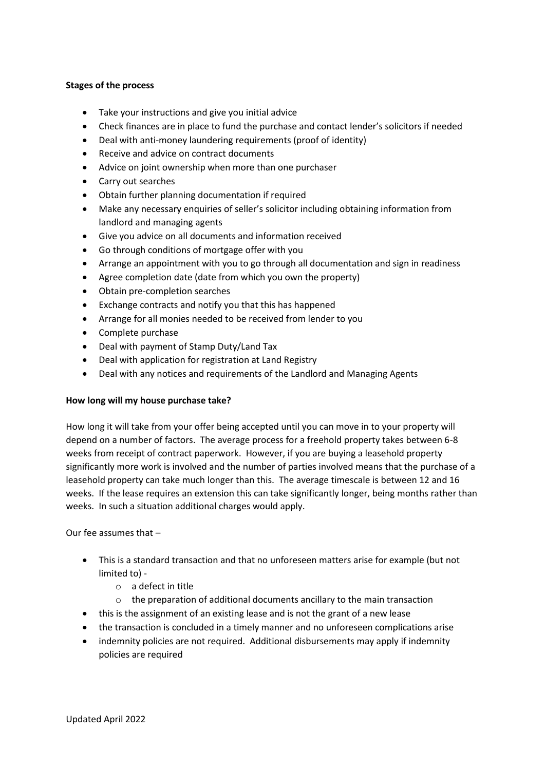### **Stages of the process**

- Take your instructions and give you initial advice
- Check finances are in place to fund the purchase and contact lender's solicitors if needed
- Deal with anti-money laundering requirements (proof of identity)
- Receive and advice on contract documents
- Advice on joint ownership when more than one purchaser
- Carry out searches
- Obtain further planning documentation if required
- Make any necessary enquiries of seller's solicitor including obtaining information from landlord and managing agents
- Give you advice on all documents and information received
- Go through conditions of mortgage offer with you
- Arrange an appointment with you to go through all documentation and sign in readiness
- Agree completion date (date from which you own the property)
- Obtain pre-completion searches
- Exchange contracts and notify you that this has happened
- Arrange for all monies needed to be received from lender to you
- Complete purchase
- Deal with payment of Stamp Duty/Land Tax
- Deal with application for registration at Land Registry
- Deal with any notices and requirements of the Landlord and Managing Agents

# **How long will my house purchase take?**

How long it will take from your offer being accepted until you can move in to your property will depend on a number of factors. The average process for a freehold property takes between 6-8 weeks from receipt of contract paperwork. However, if you are buying a leasehold property significantly more work is involved and the number of parties involved means that the purchase of a leasehold property can take much longer than this. The average timescale is between 12 and 16 weeks. If the lease requires an extension this can take significantly longer, being months rather than weeks. In such a situation additional charges would apply.

Our fee assumes that –

- This is a standard transaction and that no unforeseen matters arise for example (but not limited to)
	- o a defect in title
	- o the preparation of additional documents ancillary to the main transaction
- this is the assignment of an existing lease and is not the grant of a new lease
- the transaction is concluded in a timely manner and no unforeseen complications arise
- indemnity policies are not required. Additional disbursements may apply if indemnity policies are required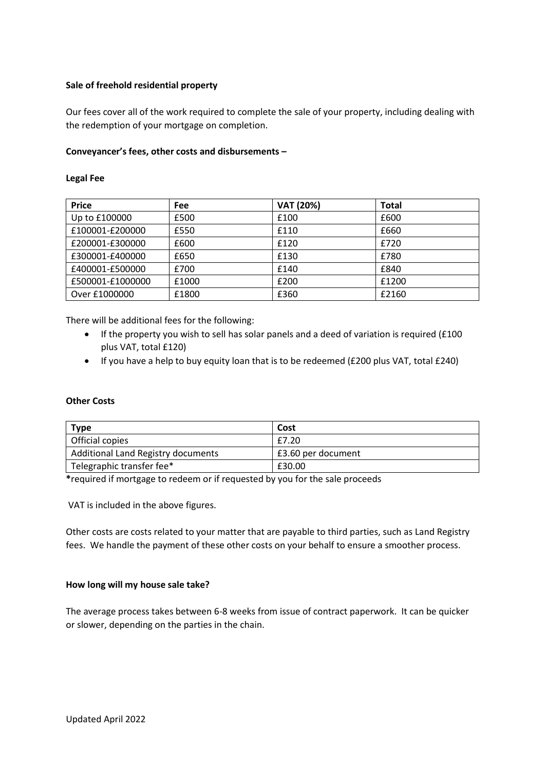### **Sale of freehold residential property**

Our fees cover all of the work required to complete the sale of your property, including dealing with the redemption of your mortgage on completion.

### **Conveyancer's fees, other costs and disbursements –**

#### **Legal Fee**

| <b>Price</b>     | Fee   | <b>VAT (20%)</b> | Total |
|------------------|-------|------------------|-------|
| Up to £100000    | £500  | £100             | £600  |
| £100001-£200000  | £550  | £110             | £660  |
| £200001-£300000  | £600  | £120             | £720  |
| £300001-£400000  | £650  | £130             | £780  |
| £400001-£500000  | £700  | £140             | £840  |
| £500001-£1000000 | £1000 | £200             | £1200 |
| Over £1000000    | £1800 | £360             | £2160 |

There will be additional fees for the following:

- If the property you wish to sell has solar panels and a deed of variation is required (£100 plus VAT, total £120)
- If you have a help to buy equity loan that is to be redeemed (£200 plus VAT, total £240)

### **Other Costs**

| <b>Type</b>                               | Cost               |
|-------------------------------------------|--------------------|
| Official copies                           | £7.20              |
| <b>Additional Land Registry documents</b> | £3.60 per document |
| Telegraphic transfer fee*                 | £30.00             |

**\***required if mortgage to redeem or if requested by you for the sale proceeds

VAT is included in the above figures.

Other costs are costs related to your matter that are payable to third parties, such as Land Registry fees. We handle the payment of these other costs on your behalf to ensure a smoother process.

### **How long will my house sale take?**

The average process takes between 6-8 weeks from issue of contract paperwork. It can be quicker or slower, depending on the parties in the chain.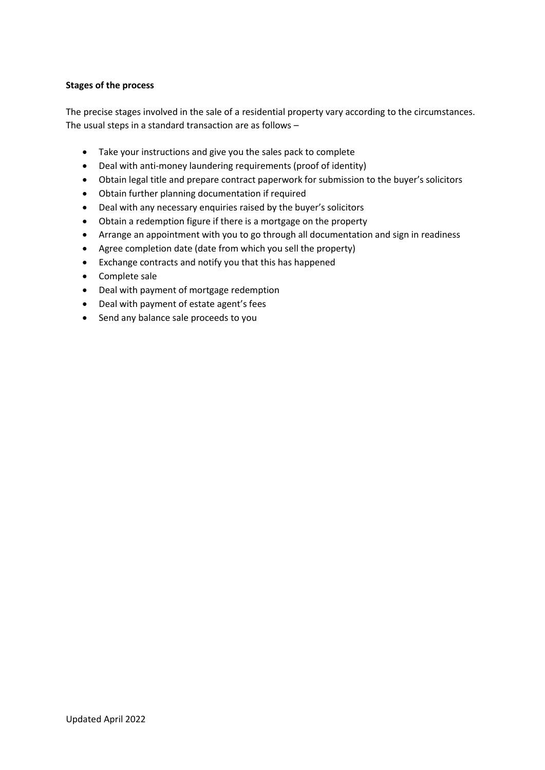## **Stages of the process**

The precise stages involved in the sale of a residential property vary according to the circumstances. The usual steps in a standard transaction are as follows –

- Take your instructions and give you the sales pack to complete
- Deal with anti-money laundering requirements (proof of identity)
- Obtain legal title and prepare contract paperwork for submission to the buyer's solicitors
- Obtain further planning documentation if required
- Deal with any necessary enquiries raised by the buyer's solicitors
- Obtain a redemption figure if there is a mortgage on the property
- Arrange an appointment with you to go through all documentation and sign in readiness
- Agree completion date (date from which you sell the property)
- Exchange contracts and notify you that this has happened
- Complete sale
- Deal with payment of mortgage redemption
- Deal with payment of estate agent's fees
- Send any balance sale proceeds to you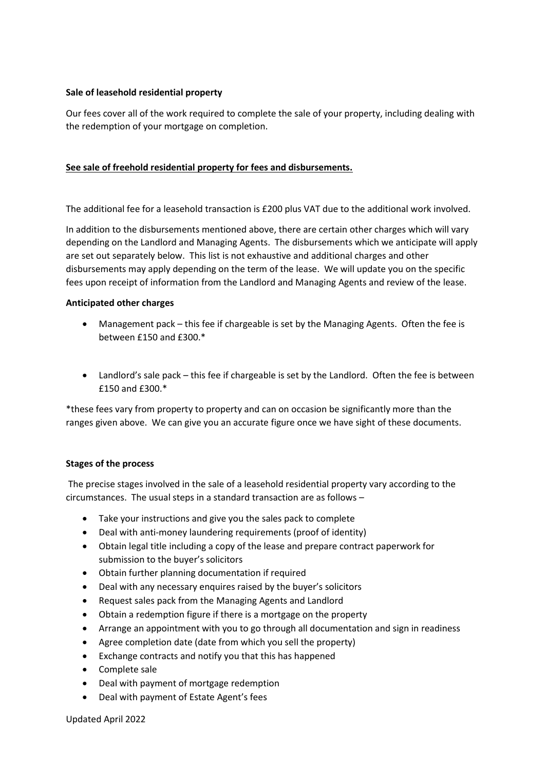## **Sale of leasehold residential property**

Our fees cover all of the work required to complete the sale of your property, including dealing with the redemption of your mortgage on completion.

## **See sale of freehold residential property for fees and disbursements.**

The additional fee for a leasehold transaction is £200 plus VAT due to the additional work involved.

In addition to the disbursements mentioned above, there are certain other charges which will vary depending on the Landlord and Managing Agents. The disbursements which we anticipate will apply are set out separately below. This list is not exhaustive and additional charges and other disbursements may apply depending on the term of the lease. We will update you on the specific fees upon receipt of information from the Landlord and Managing Agents and review of the lease.

## **Anticipated other charges**

- Management pack this fee if chargeable is set by the Managing Agents. Often the fee is between £150 and £300.\*
- Landlord's sale pack this fee if chargeable is set by the Landlord. Often the fee is between £150 and £300.\*

\*these fees vary from property to property and can on occasion be significantly more than the ranges given above. We can give you an accurate figure once we have sight of these documents.

### **Stages of the process**

The precise stages involved in the sale of a leasehold residential property vary according to the circumstances. The usual steps in a standard transaction are as follows –

- Take your instructions and give you the sales pack to complete
- Deal with anti-money laundering requirements (proof of identity)
- Obtain legal title including a copy of the lease and prepare contract paperwork for submission to the buyer's solicitors
- Obtain further planning documentation if required
- Deal with any necessary enquires raised by the buyer's solicitors
- Request sales pack from the Managing Agents and Landlord
- Obtain a redemption figure if there is a mortgage on the property
- Arrange an appointment with you to go through all documentation and sign in readiness
- Agree completion date (date from which you sell the property)
- Exchange contracts and notify you that this has happened
- Complete sale
- Deal with payment of mortgage redemption
- Deal with payment of Estate Agent's fees

Updated April 2022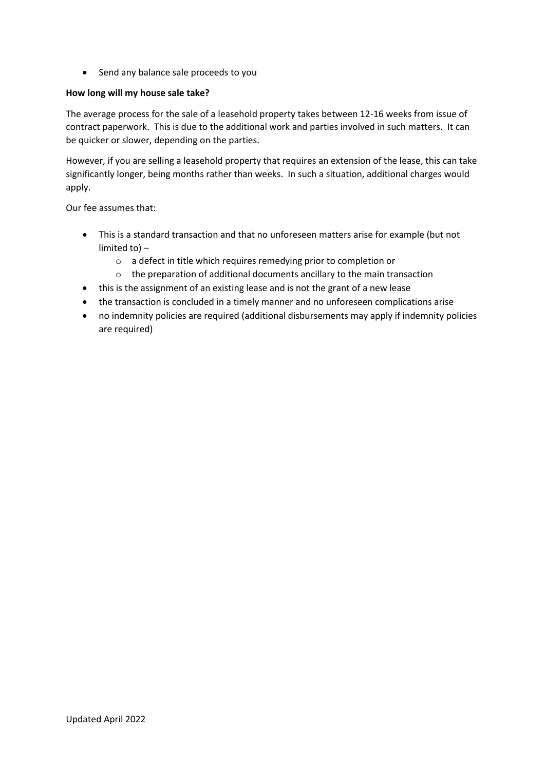• Send any balance sale proceeds to you

## **How long will my house sale take?**

The average process for the sale of a leasehold property takes between 12-16 weeks from issue of contract paperwork. This is due to the additional work and parties involved in such matters. It can be quicker or slower, depending on the parties.

However, if you are selling a leasehold property that requires an extension of the lease, this can take significantly longer, being months rather than weeks. In such a situation, additional charges would apply.

Our fee assumes that:

- This is a standard transaction and that no unforeseen matters arise for example (but not limited to) –
	- o a defect in title which requires remedying prior to completion or
	- o the preparation of additional documents ancillary to the main transaction
- this is the assignment of an existing lease and is not the grant of a new lease
- the transaction is concluded in a timely manner and no unforeseen complications arise
- no indemnity policies are required (additional disbursements may apply if indemnity policies are required)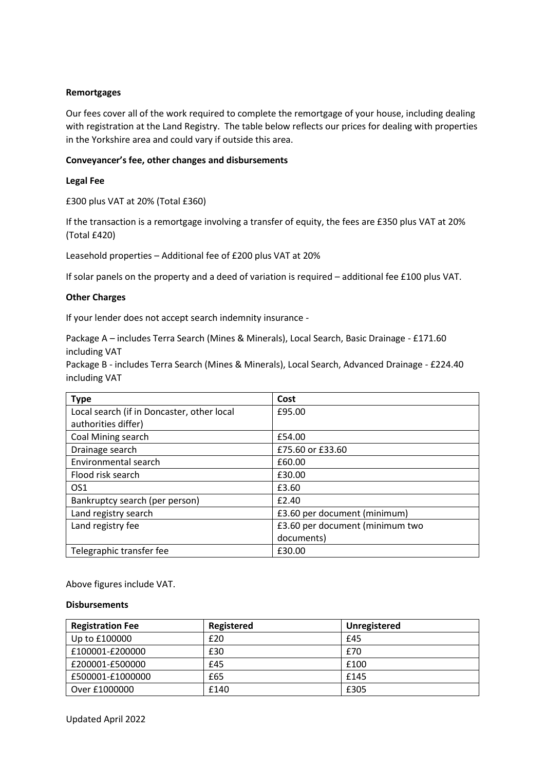#### **Remortgages**

Our fees cover all of the work required to complete the remortgage of your house, including dealing with registration at the Land Registry. The table below reflects our prices for dealing with properties in the Yorkshire area and could vary if outside this area.

#### **Conveyancer's fee, other changes and disbursements**

#### **Legal Fee**

£300 plus VAT at 20% (Total £360)

If the transaction is a remortgage involving a transfer of equity, the fees are £350 plus VAT at 20% (Total £420)

Leasehold properties – Additional fee of £200 plus VAT at 20%

If solar panels on the property and a deed of variation is required – additional fee £100 plus VAT.

#### **Other Charges**

If your lender does not accept search indemnity insurance -

Package A – includes Terra Search (Mines & Minerals), Local Search, Basic Drainage - £171.60 including VAT

Package B - includes Terra Search (Mines & Minerals), Local Search, Advanced Drainage - £224.40 including VAT

| <b>Type</b>                                | Cost                            |
|--------------------------------------------|---------------------------------|
| Local search (if in Doncaster, other local | £95.00                          |
| authorities differ)                        |                                 |
| Coal Mining search                         | £54.00                          |
| Drainage search                            | £75.60 or £33.60                |
| Environmental search                       | £60.00                          |
| Flood risk search                          | £30.00                          |
| OS <sub>1</sub>                            | £3.60                           |
| Bankruptcy search (per person)             | £2.40                           |
| Land registry search                       | £3.60 per document (minimum)    |
| Land registry fee                          | £3.60 per document (minimum two |
|                                            | documents)                      |
| Telegraphic transfer fee                   | £30.00                          |

Above figures include VAT.

#### **Disbursements**

| <b>Registration Fee</b> | Registered | Unregistered |
|-------------------------|------------|--------------|
| Up to £100000           | £20        | £45          |
| £100001-£200000         | £30        | £70          |
| £200001-£500000         | £45        | £100         |
| £500001-£1000000        | £65        | £145         |
| Over £1000000           | £140       | £305         |